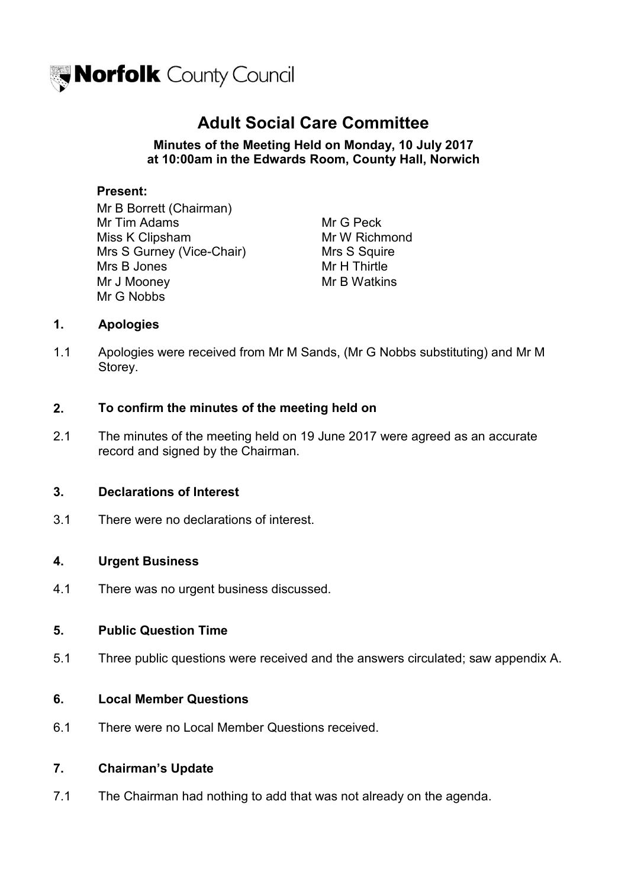

# **Adult Social Care Committee**

**Minutes of the Meeting Held on Monday, 10 July 2017 at 10:00am in the Edwards Room, County Hall, Norwich**

### **Present:**

Mr B Borrett (Chairman) Mr Tim Adams Mr G Peck Miss K Clipsham Mr W Richmond Mrs S Gurney (Vice-Chair) Mrs S Squire Mrs B Jones Mr H Thirtle Mr J Mooney **Mr B Watkins** Mr G Nobbs

## **1. Apologies**

1.1 Apologies were received from Mr M Sands, (Mr G Nobbs substituting) and Mr M Storey.

## **2.** To confirm the minutes of the meeting held on

2.1 The minutes of the meeting held on 19 June 2017 were agreed as an accurate record and signed by the Chairman.

## **3. Declarations of Interest**

3.1 There were no declarations of interest.

## **4. Urgent Business**

4.1 There was no urgent business discussed.

### **5. Public Question Time**

5.1 Three public questions were received and the answers circulated; saw appendix A.

## **6. Local Member Questions**

6.1 There were no Local Member Questions received.

## **7. Chairman's Update**

7.1 The Chairman had nothing to add that was not already on the agenda.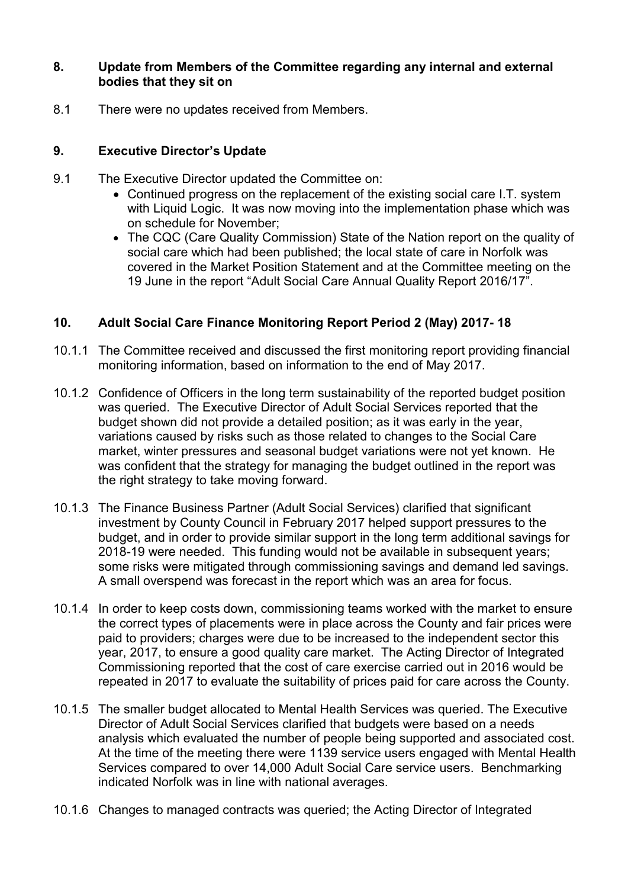## **8. Update from Members of the Committee regarding any internal and external bodies that they sit on**

8.1 There were no updates received from Members.

## **9. Executive Director's Update**

- 9.1 The Executive Director updated the Committee on:
	- Continued progress on the replacement of the existing social care I.T. system with Liquid Logic. It was now moving into the implementation phase which was on schedule for November;
	- The CQC (Care Quality Commission) State of the Nation report on the quality of social care which had been published; the local state of care in Norfolk was covered in the Market Position Statement and at the Committee meeting on the 19 June in the report "Adult Social Care Annual Quality Report 2016/17".

## **10. Adult Social Care Finance Monitoring Report Period 2 (May) 2017- 18**

- 10.1.1 The Committee received and discussed the first monitoring report providing financial monitoring information, based on information to the end of May 2017.
- 10.1.2 Confidence of Officers in the long term sustainability of the reported budget position was queried. The Executive Director of Adult Social Services reported that the budget shown did not provide a detailed position; as it was early in the year, variations caused by risks such as those related to changes to the Social Care market, winter pressures and seasonal budget variations were not yet known. He was confident that the strategy for managing the budget outlined in the report was the right strategy to take moving forward.
- 10.1.3 The Finance Business Partner (Adult Social Services) clarified that significant investment by County Council in February 2017 helped support pressures to the budget, and in order to provide similar support in the long term additional savings for 2018-19 were needed. This funding would not be available in subsequent years; some risks were mitigated through commissioning savings and demand led savings. A small overspend was forecast in the report which was an area for focus.
- 10.1.4 In order to keep costs down, commissioning teams worked with the market to ensure the correct types of placements were in place across the County and fair prices were paid to providers; charges were due to be increased to the independent sector this year, 2017, to ensure a good quality care market. The Acting Director of Integrated Commissioning reported that the cost of care exercise carried out in 2016 would be repeated in 2017 to evaluate the suitability of prices paid for care across the County.
- 10.1.5 The smaller budget allocated to Mental Health Services was queried. The Executive Director of Adult Social Services clarified that budgets were based on a needs analysis which evaluated the number of people being supported and associated cost. At the time of the meeting there were 1139 service users engaged with Mental Health Services compared to over 14,000 Adult Social Care service users. Benchmarking indicated Norfolk was in line with national averages.
- 10.1.6 Changes to managed contracts was queried; the Acting Director of Integrated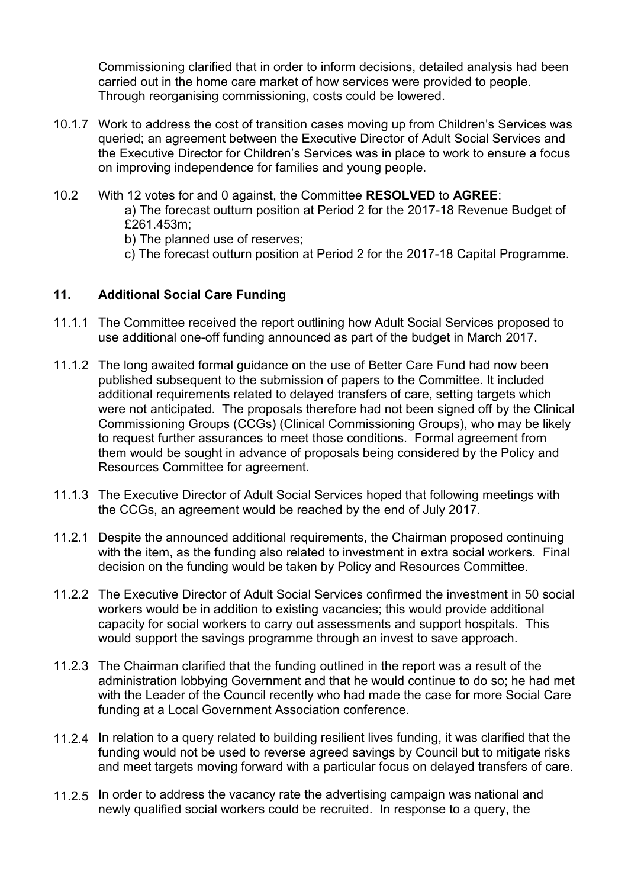Commissioning clarified that in order to inform decisions, detailed analysis had been carried out in the home care market of how services were provided to people. Through reorganising commissioning, costs could be lowered.

- 10.1.7 Work to address the cost of transition cases moving up from Children's Services was queried; an agreement between the Executive Director of Adult Social Services and the Executive Director for Children's Services was in place to work to ensure a focus on improving independence for families and young people.
- 10.2 With 12 votes for and 0 against, the Committee **RESOLVED** to **AGREE**: a) The forecast outturn position at Period 2 for the 2017-18 Revenue Budget of £261.453m;
	- b) The planned use of reserves;
	- c) The forecast outturn position at Period 2 for the 2017-18 Capital Programme.

## **11. Additional Social Care Funding**

- 11.1.1 The Committee received the report outlining how Adult Social Services proposed to use additional one-off funding announced as part of the budget in March 2017.
- 11.1.2 The long awaited formal guidance on the use of Better Care Fund had now been published subsequent to the submission of papers to the Committee. It included additional requirements related to delayed transfers of care, setting targets which were not anticipated. The proposals therefore had not been signed off by the Clinical Commissioning Groups (CCGs) (Clinical Commissioning Groups), who may be likely to request further assurances to meet those conditions. Formal agreement from them would be sought in advance of proposals being considered by the Policy and Resources Committee for agreement.
- 11.1.3 The Executive Director of Adult Social Services hoped that following meetings with the CCGs, an agreement would be reached by the end of July 2017.
- 11.2.1 Despite the announced additional requirements, the Chairman proposed continuing with the item, as the funding also related to investment in extra social workers. Final decision on the funding would be taken by Policy and Resources Committee.
- 11.2.2 The Executive Director of Adult Social Services confirmed the investment in 50 social workers would be in addition to existing vacancies; this would provide additional capacity for social workers to carry out assessments and support hospitals. This would support the savings programme through an invest to save approach.
- 11.2.3 The Chairman clarified that the funding outlined in the report was a result of the administration lobbying Government and that he would continue to do so; he had met with the Leader of the Council recently who had made the case for more Social Care funding at a Local Government Association conference.
- 11.2.4 In relation to a query related to building resilient lives funding, it was clarified that the funding would not be used to reverse agreed savings by Council but to mitigate risks and meet targets moving forward with a particular focus on delayed transfers of care.
- 11.2.5 In order to address the vacancy rate the advertising campaign was national and newly qualified social workers could be recruited. In response to a query, the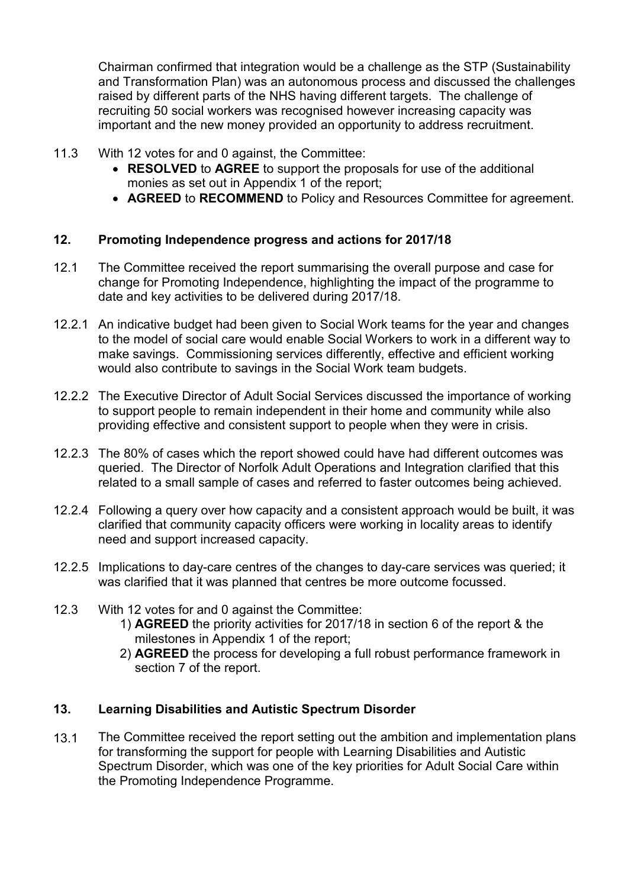Chairman confirmed that integration would be a challenge as the STP (Sustainability and Transformation Plan) was an autonomous process and discussed the challenges raised by different parts of the NHS having different targets. The challenge of recruiting 50 social workers was recognised however increasing capacity was important and the new money provided an opportunity to address recruitment.

- 11.3 With 12 votes for and 0 against, the Committee:
	- **RESOLVED** to **AGREE** to support the proposals for use of the additional monies as set out in Appendix 1 of the report;
	- **AGREED** to **RECOMMEND** to Policy and Resources Committee for agreement.

## **12. Promoting Independence progress and actions for 2017/18**

- 12.1 The Committee received the report summarising the overall purpose and case for change for Promoting Independence, highlighting the impact of the programme to date and key activities to be delivered during 2017/18.
- 12.2.1 An indicative budget had been given to Social Work teams for the year and changes to the model of social care would enable Social Workers to work in a different way to make savings. Commissioning services differently, effective and efficient working would also contribute to savings in the Social Work team budgets.
- 12.2.2 The Executive Director of Adult Social Services discussed the importance of working to support people to remain independent in their home and community while also providing effective and consistent support to people when they were in crisis.
- 12.2.3 The 80% of cases which the report showed could have had different outcomes was queried. The Director of Norfolk Adult Operations and Integration clarified that this related to a small sample of cases and referred to faster outcomes being achieved.
- 12.2.4 Following a query over how capacity and a consistent approach would be built, it was clarified that community capacity officers were working in locality areas to identify need and support increased capacity.
- 12.2.5 Implications to day-care centres of the changes to day-care services was queried; it was clarified that it was planned that centres be more outcome focussed.
- 12.3 With 12 votes for and 0 against the Committee:
	- 1) **AGREED** the priority activities for 2017/18 in section 6 of the report & the milestones in Appendix 1 of the report;
	- 2) **AGREED** the process for developing a full robust performance framework in section 7 of the report.

#### **13. Learning Disabilities and Autistic Spectrum Disorder**

13.1 The Committee received the report setting out the ambition and implementation plans for transforming the support for people with Learning Disabilities and Autistic Spectrum Disorder, which was one of the key priorities for Adult Social Care within the Promoting Independence Programme.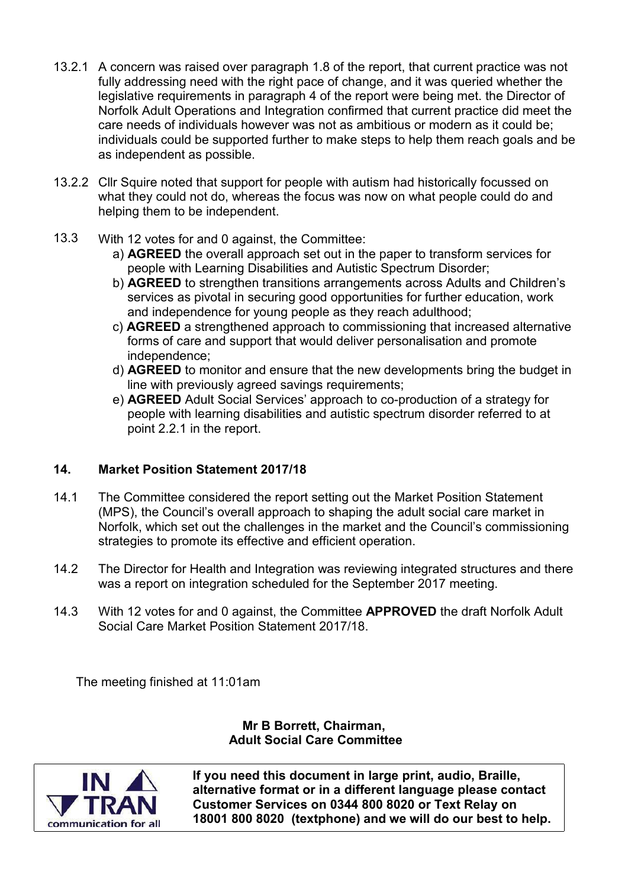- 13.2.1 A concern was raised over paragraph 1.8 of the report, that current practice was not fully addressing need with the right pace of change, and it was queried whether the legislative requirements in paragraph 4 of the report were being met. the Director of Norfolk Adult Operations and Integration confirmed that current practice did meet the care needs of individuals however was not as ambitious or modern as it could be; individuals could be supported further to make steps to help them reach goals and be as independent as possible.
- 13.2.2 Cllr Squire noted that support for people with autism had historically focussed on what they could not do, whereas the focus was now on what people could do and helping them to be independent.
- 13.3 With 12 votes for and 0 against, the Committee:
	- a) **AGREED** the overall approach set out in the paper to transform services for people with Learning Disabilities and Autistic Spectrum Disorder;
	- b) **AGREED** to strengthen transitions arrangements across Adults and Children's services as pivotal in securing good opportunities for further education, work and independence for young people as they reach adulthood;
	- c) **AGREED** a strengthened approach to commissioning that increased alternative forms of care and support that would deliver personalisation and promote independence;
	- d) **AGREED** to monitor and ensure that the new developments bring the budget in line with previously agreed savings requirements;
	- e) **AGREED** Adult Social Services' approach to co-production of a strategy for people with learning disabilities and autistic spectrum disorder referred to at point 2.2.1 in the report.

## **14. Market Position Statement 2017/18**

- 14.1 The Committee considered the report setting out the Market Position Statement (MPS), the Council's overall approach to shaping the adult social care market in Norfolk, which set out the challenges in the market and the Council's commissioning strategies to promote its effective and efficient operation.
- 14.2 The Director for Health and Integration was reviewing integrated structures and there was a report on integration scheduled for the September 2017 meeting.
- 14.3 With 12 votes for and 0 against, the Committee **APPROVED** the draft Norfolk Adult Social Care Market Position Statement 2017/18.

The meeting finished at 11:01am

## **Mr B Borrett, Chairman, Adult Social Care Committee**



**If you need this document in large print, audio, Braille, alternative format or in a different language please contact Customer Services on 0344 800 8020 or Text Relay on 18001 800 8020 (textphone) and we will do our best to help.**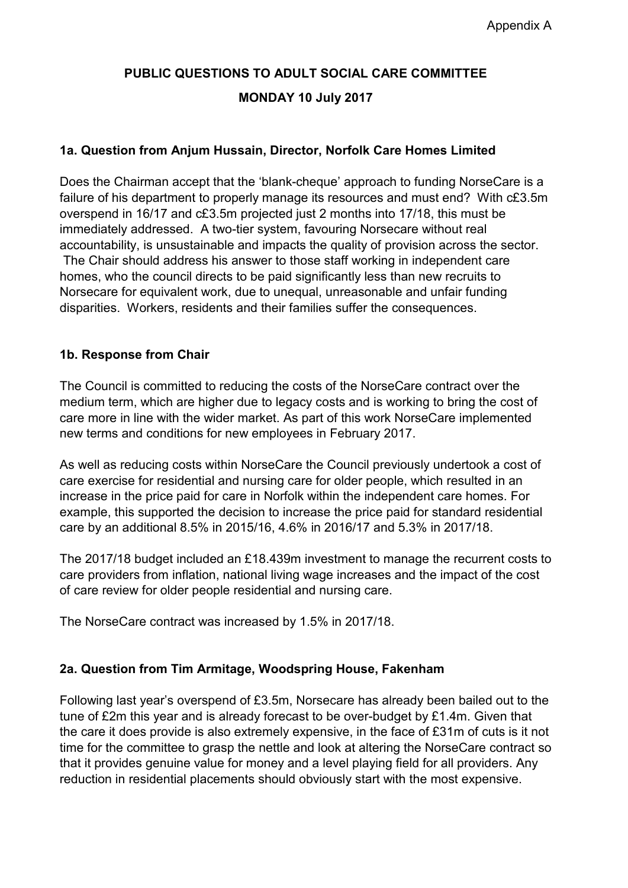# **PUBLIC QUESTIONS TO ADULT SOCIAL CARE COMMITTEE**

## **MONDAY 10 July 2017**

## **1a. Question from Anjum Hussain, Director, Norfolk Care Homes Limited**

Does the Chairman accept that the 'blank-cheque' approach to funding NorseCare is a failure of his department to properly manage its resources and must end? With c£3.5m overspend in 16/17 and c£3.5m projected just 2 months into 17/18, this must be immediately addressed. A two-tier system, favouring Norsecare without real accountability, is unsustainable and impacts the quality of provision across the sector. The Chair should address his answer to those staff working in independent care

homes, who the council directs to be paid significantly less than new recruits to Norsecare for equivalent work, due to unequal, unreasonable and unfair funding disparities. Workers, residents and their families suffer the consequences.

## **1b. Response from Chair**

The Council is committed to reducing the costs of the NorseCare contract over the medium term, which are higher due to legacy costs and is working to bring the cost of care more in line with the wider market. As part of this work NorseCare implemented new terms and conditions for new employees in February 2017.

As well as reducing costs within NorseCare the Council previously undertook a cost of care exercise for residential and nursing care for older people, which resulted in an increase in the price paid for care in Norfolk within the independent care homes. For example, this supported the decision to increase the price paid for standard residential care by an additional 8.5% in 2015/16, 4.6% in 2016/17 and 5.3% in 2017/18.

The 2017/18 budget included an £18.439m investment to manage the recurrent costs to care providers from inflation, national living wage increases and the impact of the cost of care review for older people residential and nursing care.

The NorseCare contract was increased by 1.5% in 2017/18.

## **2a. Question from Tim Armitage, Woodspring House, Fakenham**

Following last year's overspend of £3.5m, Norsecare has already been bailed out to the tune of £2m this year and is already forecast to be over-budget by £1.4m. Given that the care it does provide is also extremely expensive, in the face of £31m of cuts is it not time for the committee to grasp the nettle and look at altering the NorseCare contract so that it provides genuine value for money and a level playing field for all providers. Any reduction in residential placements should obviously start with the most expensive.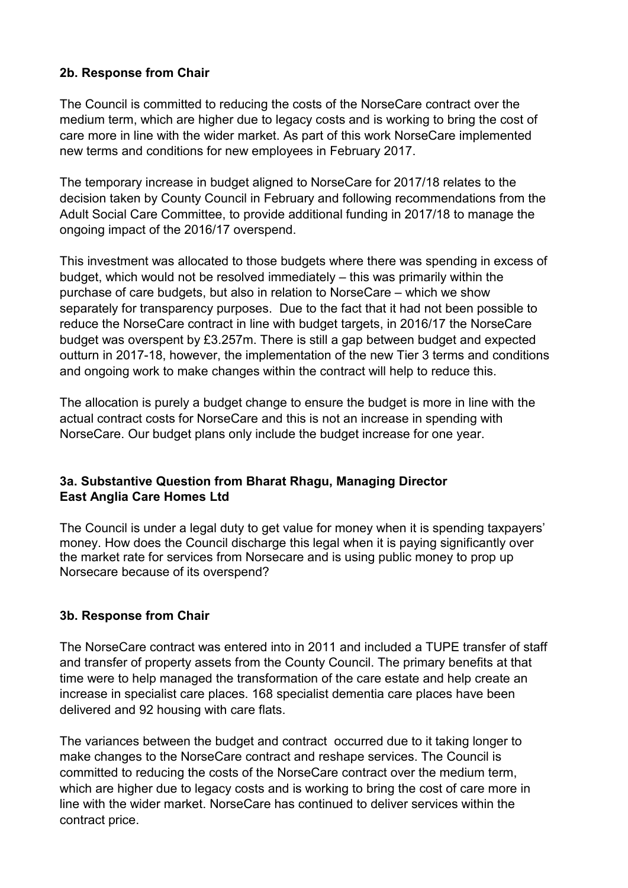## **2b. Response from Chair**

The Council is committed to reducing the costs of the NorseCare contract over the medium term, which are higher due to legacy costs and is working to bring the cost of care more in line with the wider market. As part of this work NorseCare implemented new terms and conditions for new employees in February 2017.

The temporary increase in budget aligned to NorseCare for 2017/18 relates to the decision taken by County Council in February and following recommendations from the Adult Social Care Committee, to provide additional funding in 2017/18 to manage the ongoing impact of the 2016/17 overspend.

This investment was allocated to those budgets where there was spending in excess of budget, which would not be resolved immediately – this was primarily within the purchase of care budgets, but also in relation to NorseCare – which we show separately for transparency purposes. Due to the fact that it had not been possible to reduce the NorseCare contract in line with budget targets, in 2016/17 the NorseCare budget was overspent by £3.257m. There is still a gap between budget and expected outturn in 2017-18, however, the implementation of the new Tier 3 terms and conditions and ongoing work to make changes within the contract will help to reduce this.

The allocation is purely a budget change to ensure the budget is more in line with the actual contract costs for NorseCare and this is not an increase in spending with NorseCare. Our budget plans only include the budget increase for one year.

## **3a. Substantive Question from Bharat Rhagu, Managing Director East Anglia Care Homes Ltd**

The Council is under a legal duty to get value for money when it is spending taxpayers' money. How does the Council discharge this legal when it is paying significantly over the market rate for services from Norsecare and is using public money to prop up Norsecare because of its overspend?

## **3b. Response from Chair**

The NorseCare contract was entered into in 2011 and included a TUPE transfer of staff and transfer of property assets from the County Council. The primary benefits at that time were to help managed the transformation of the care estate and help create an increase in specialist care places. 168 specialist dementia care places have been delivered and 92 housing with care flats.

The variances between the budget and contract occurred due to it taking longer to make changes to the NorseCare contract and reshape services. The Council is committed to reducing the costs of the NorseCare contract over the medium term, which are higher due to legacy costs and is working to bring the cost of care more in line with the wider market. NorseCare has continued to deliver services within the contract price.